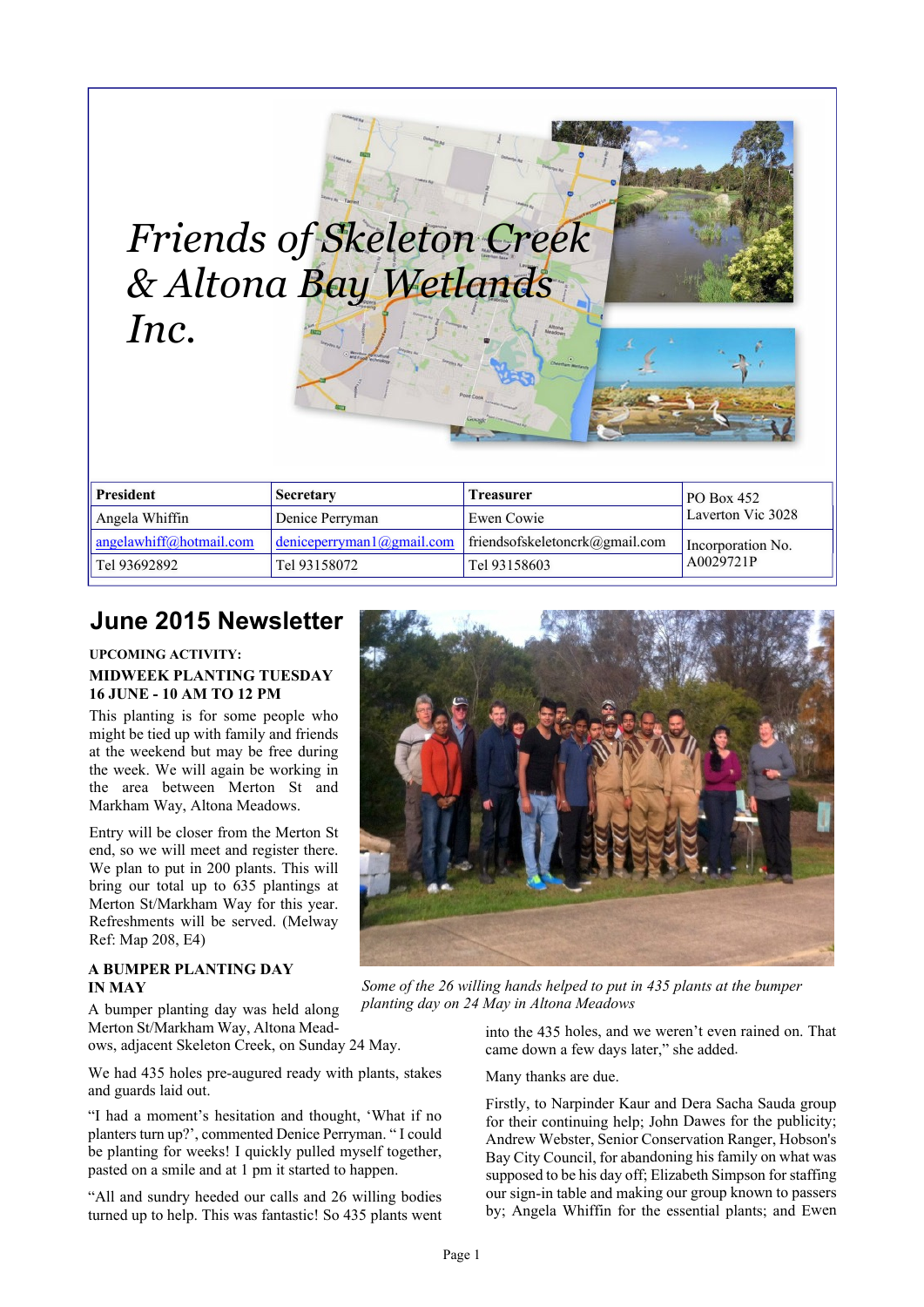| & Altona Bay Wetlands<br>Inc. |                                   |                                |                   |
|-------------------------------|-----------------------------------|--------------------------------|-------------------|
|                               |                                   |                                |                   |
| <b>President</b>              | Secretary                         | <b>Treasurer</b>               | <b>PO Box 452</b> |
| Angela Whiffin                | Denice Perryman                   | <b>Ewen Cowie</b>              | Laverton Vic 3028 |
| angelawhiff@hotmail.com       | $deniceperryman 1$ ( $@gmail.com$ | friendsofskeletoncrk@gmail.com | Incorporation No. |

# **June 2015 Newsletter**

#### **UPCOMING ACTIVITY: MIDWEEK PLANTING TUESDAY 16 JUNE - 10 AM TO 12 PM**

This planting is for some people who might be tied up with family and friends at the weekend but may be free during the week. We will again be working in the area between Merton St and Markham Way, Altona Meadows.

Entry will be closer from the Merton St end, so we will meet and register there. We plan to put in 200 plants. This will bring our total up to 635 plantings at Merton St/Markham Way for this year. Refreshments will be served. (Melway Ref: Map 208, E4)

#### **A BUMPER PLANTING DAY IN MAY**

A bumper planting day was held along Merton St/Markham Way, Altona Meadows, adjacent Skeleton Creek, on Sunday 24 May.

We had 435 holes pre-augured ready with plants, stakes and guards laid out.

"I had a moment's hesitation and thought, 'What if no planters turn up?', commented Denice Perryman. " I could be planting for weeks! I quickly pulled myself together, pasted on a smile and at 1 pm it started to happen.

"All and sundry heeded our calls and 26 willing bodies turned up to help. This was fantastic! So 435 plants went



*Some of the 26 willing hands helped to put in 435 plants at the bumper planting day on 24 May in Altona Meadows*

into the 435 holes, and we weren't even rained on. That came down a few days later," she added.

Many thanks are due.

Firstly, to Narpinder Kaur and Dera Sacha Sauda group for their continuing help; John Dawes for the publicity; Andrew Webster, Senior Conservation Ranger, Hobson's Bay City Council, for abandoning his family on what was supposed to be his day off; Elizabeth Simpson for staffing our sign-in table and making our group known to passers by; Angela Whiffin for the essential plants; and Ewen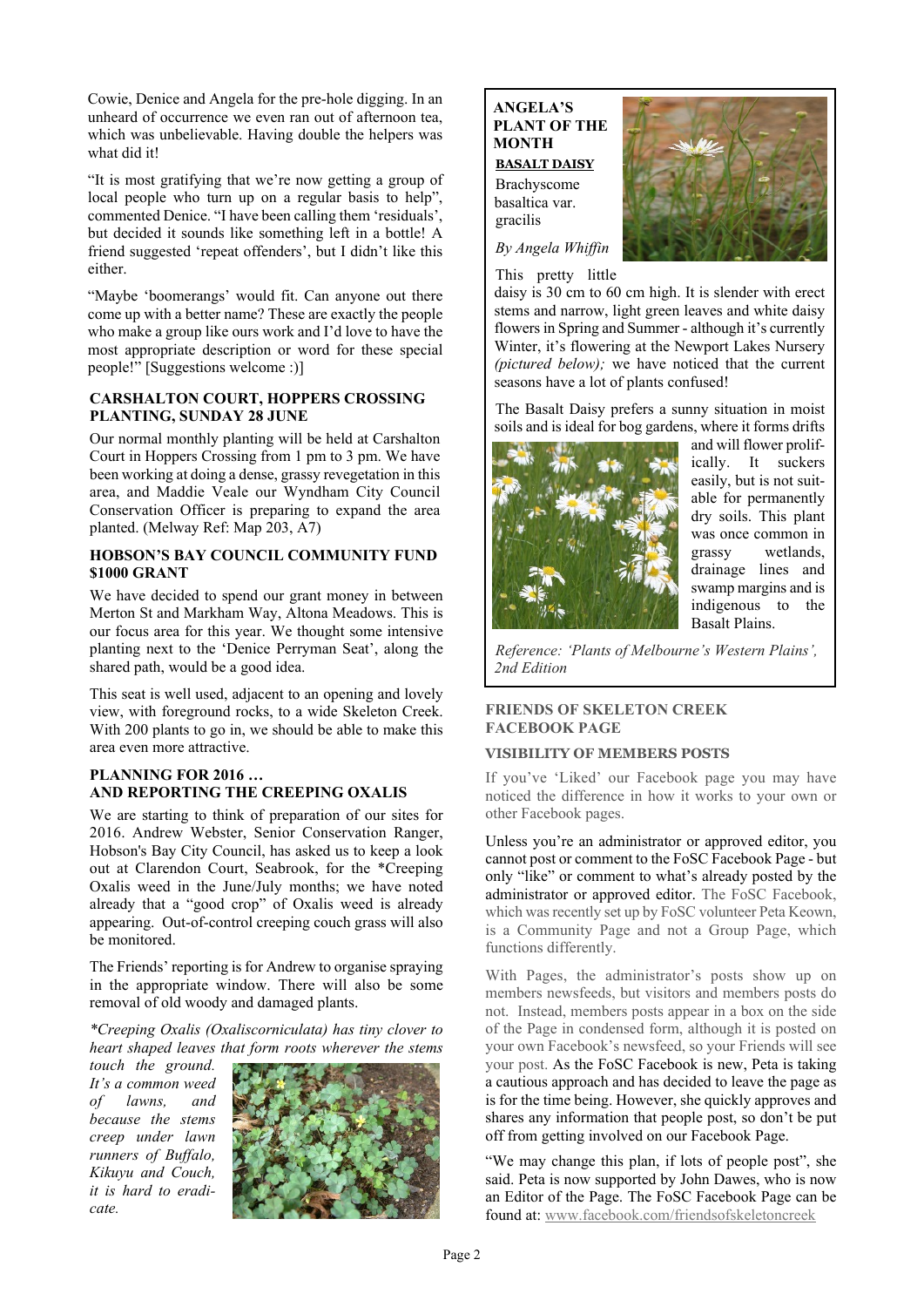Cowie, Denice and Angela for the pre-hole digging. In an unheard of occurrence we even ran out of afternoon tea, which was unbelievable. Having double the helpers was what did it!

"It is most gratifying that we're now getting a group of local people who turn up on a regular basis to help", commented Denice. "I have been calling them 'residuals', but decided it sounds like something left in a bottle! A friend suggested 'repeat offenders', but I didn't like this either.

"Maybe 'boomerangs' would fit. Can anyone out there come up with a better name? These are exactly the people who make a group like ours work and I'd love to have the most appropriate description or word for these special people!" [Suggestions welcome :)]

#### **CARSHALTON COURT, HOPPERS CROSSING PLANTING, SUNDAY 28 JUNE**

Our normal monthly planting will be held at Carshalton Court in Hoppers Crossing from 1 pm to 3 pm. We have been working at doing a dense, grassy revegetation in this area, and Maddie Veale our Wyndham City Council Conservation Officer is preparing to expand the area planted. (Melway Ref: Map 203, A7)

## **HOBSON'S BAY COUNCIL COMMUNITY FUND \$1000 GRANT**

We have decided to spend our grant money in between Merton St and Markham Way, Altona Meadows. This is our focus area for this year. We thought some intensive planting next to the 'Denice Perryman Seat', along the shared path, would be a good idea.

This seat is well used, adjacent to an opening and lovely view, with foreground rocks, to a wide Skeleton Creek. With 200 plants to go in, we should be able to make this area even more attractive.

## **PLANNING FOR 2016 … AND REPORTING THE CREEPING OXALIS**

We are starting to think of preparation of our sites for 2016. Andrew Webster, Senior Conservation Ranger, Hobson's Bay City Council, has asked us to keep a look out at Clarendon Court, Seabrook, for the \*Creeping Oxalis weed in the June/July months; we have noted already that a "good crop" of Oxalis weed is already appearing. Out-of-control creeping couch grass will also be monitored.

The Friends' reporting is for Andrew to organise spraying in the appropriate window. There will also be some removal of old woody and damaged plants.

*\*Creeping Oxalis (Oxaliscorniculata) has tiny clover to heart shaped leaves that form roots wherever the stems*

*touch the ground. It's a common weed of lawns, and because the stems creep under lawn runners of Buffalo, Kikuyu and Couch, it is hard to eradicate.*



# **ANGELA'S PLANT OF THE MONTH**

**BASALT DAISY** Brachyscome basaltica var. gracilis



*By Angela Whiffin*

This pretty little

daisy is 30 cm to 60 cm high. It is slender with erect stems and narrow, light green leaves and white daisy flowers in Spring and Summer - although it's currently Winter, it's flowering at the Newport Lakes Nursery *(pictured below);* we have noticed that the current seasons have a lot of plants confused!

The Basalt Daisy prefers a sunny situation in moist soils and is ideal for bog gardens, where it forms drifts



and will flower prolifically. It suckers easily, but is not suitable for permanently dry soils. This plant was once common in grassy wetlands, drainage lines and swamp margins and is indigenous to the Basalt Plains.

*Reference: 'Plants of Melbourne's Western Plains', 2nd Edition*

# **FRIENDS OF SKELETON CREEK FACEBOOK PAGE**

## **VISIBILITY OF MEMBERS POSTS**

If you've 'Liked' our Facebook page you may have noticed the difference in how it works to your own or other Facebook pages.

Unless you're an administrator or approved editor, you cannot post or comment to the FoSC Facebook Page - but only "like" or comment to what's already posted by the administrator or approved editor. The FoSC Facebook, which was recently set up by FoSC volunteer Peta Keown, is a Community Page and not a Group Page, which functions differently.

With Pages, the administrator's posts show up on members newsfeeds, but visitors and members posts do not. Instead, members posts appear in a box on the side of the Page in condensed form, although it is posted on your own Facebook's newsfeed, so your Friends will see your post. As the FoSC Facebook is new, Peta is taking a cautious approach and has decided to leave the page as is for the time being. However, she quickly approves and shares any information that people post, so don't be put off from getting involved on our Facebook Page.

"We may change this plan, if lots of people post", she said. Peta is now supported by John Dawes, who is now an Editor of the Page. The FoSC Facebook Page can be found at: <www.facebook.com/friendsofskeletoncreek>